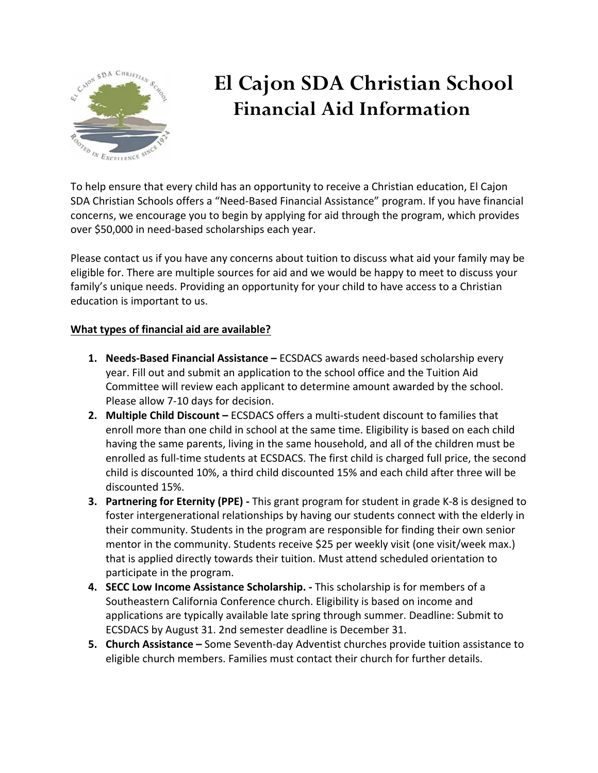

## **El Cajon SDA Christian School Financial Aid Information**

To help ensure that every child has an opportunity to receive a Christian education, El Cajon SDA Christian Schools offers a "Need-Based Financial Assistance" program. If you have financial concerns, we encourage you to begin by applying for aid through the program, which provides over \$50,000 in need-based scholarships each year.

Please contact us if you have any concerns about tuition to discuss what aid your family may be eligible for. There are multiple sources for aid and we would be happy to meet to discuss your family's unique needs. Providing an opportunity for your child to have access to a Christian education is important to us.

#### **What types of financial aid are available?**

- **1. Needs-Based Financial Assistance –** ECSDACS awards need-based scholarship every year. Fill out and submit an application to the school office and the Tuition Aid Committee will review each applicant to determine amount awarded by the school. Please allow 7-10 days for decision.
- **2. Multiple Child Discount –** ECSDACS offers a multi-student discount to families that enroll more than one child in school at the same time. Eligibility is based on each child having the same parents, living in the same household, and all of the children must be enrolled as full-time students at ECSDACS. The first child is charged full price, the second child is discounted 10%, a third child discounted 15% and each child after three will be discounted 15%.
- **3. Partnering for Eternity (PPE) -** This grant program for student in grade K-8 is designed to foster intergenerational relationships by having our students connect with the elderly in their community. Students in the program are responsible for finding their own senior mentor in the community. Students receive \$25 per weekly visit (one visit/week max.) that is applied directly towards their tuition. Must attend scheduled orientation to participate in the program.
- **4. SECC Low Income Assistance Scholarship. -** This scholarship is for members of a Southeastern California Conference church. Eligibility is based on income and applications are typically available late spring through summer. Deadline: Submit to ECSDACS by August 31. 2nd semester deadline is December 31.
- **5. Church Assistance –** Some Seventh-day Adventist churches provide tuition assistance to eligible church members. Families must contact their church for further details.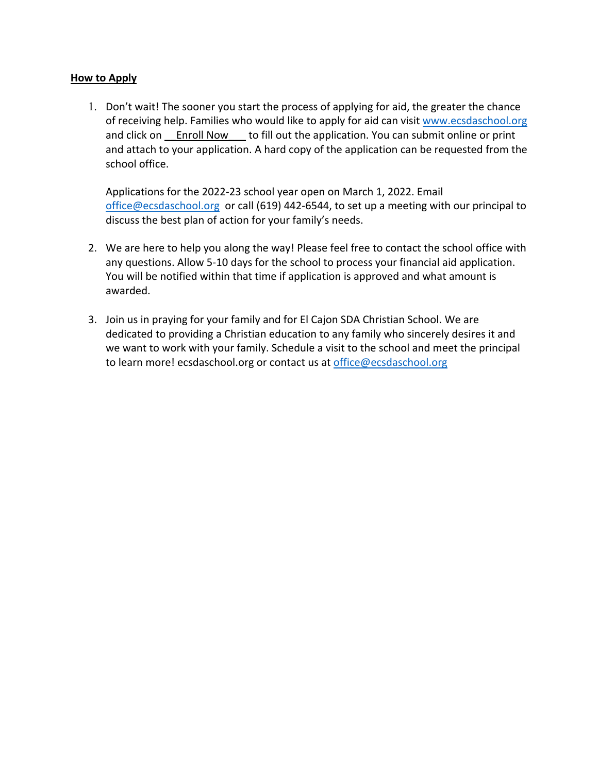#### **How to Apply**

1. Don't wait! The sooner you start the process of applying for aid, the greater the chance of receiving help. Families who would like to apply for aid can visit www.ecsdaschool.org and click on Lenroll Now to fill out the application. You can submit online or print and attach to your application. A hard copy of the application can be requested from the school office.

Applications for the 2022-23 school year open on March 1, 2022. Email office@ecsdaschool.org or call (619) 442-6544, to set up a meeting with our principal to discuss the best plan of action for your family's needs.

- 2. We are here to help you along the way! Please feel free to contact the school office with any questions. Allow 5-10 days for the school to process your financial aid application. You will be notified within that time if application is approved and what amount is awarded.
- 3. Join us in praying for your family and for El Cajon SDA Christian School. We are dedicated to providing a Christian education to any family who sincerely desires it and we want to work with your family. Schedule a visit to the school and meet the principal to learn more! ecsdaschool.org or contact us at office@ecsdaschool.org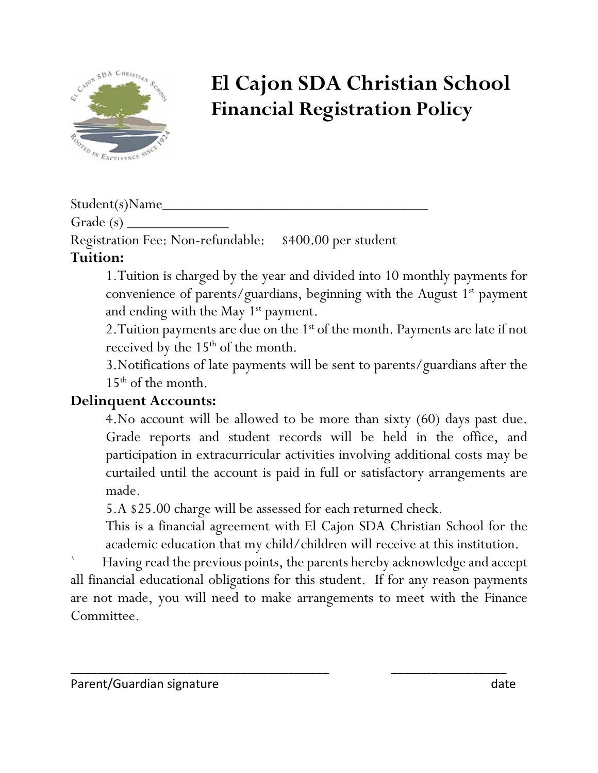

# **El Cajon SDA Christian School Financial Registration Policy**

Student(s)Name\_

Grade  $(s)$   $\_\_$ 

Registration Fee: Non-refundable: \$400.00 per student

### **Tuition:**

1.Tuition is charged by the year and divided into 10 monthly payments for convenience of parents/guardians, beginning with the August  $1<sup>st</sup>$  payment and ending with the May  $1<sup>st</sup>$  payment.

2. Tuition payments are due on the 1<sup>st</sup> of the month. Payments are late if not received by the  $15<sup>th</sup>$  of the month.

3.Notifications of late payments will be sent to parents/guardians after the  $15<sup>th</sup>$  of the month.

## **Delinquent Accounts:**

4.No account will be allowed to be more than sixty (60) days past due. Grade reports and student records will be held in the office, and participation in extracurricular activities involving additional costs may be curtailed until the account is paid in full or satisfactory arrangements are made.

5.A \$25.00 charge will be assessed for each returned check.

This is a financial agreement with El Cajon SDA Christian School for the academic education that my child/children will receive at this institution.

` Having read the previous points, the parents hereby acknowledge and accept all financial educational obligations for this student. If for any reason payments are not made, you will need to make arrangements to meet with the Finance Committee.

\_\_\_\_\_\_\_\_\_\_\_\_\_\_\_\_\_\_\_\_\_\_\_\_\_\_\_\_\_\_\_\_\_\_\_\_\_\_ \_\_\_\_\_\_\_\_\_\_\_\_\_\_\_\_\_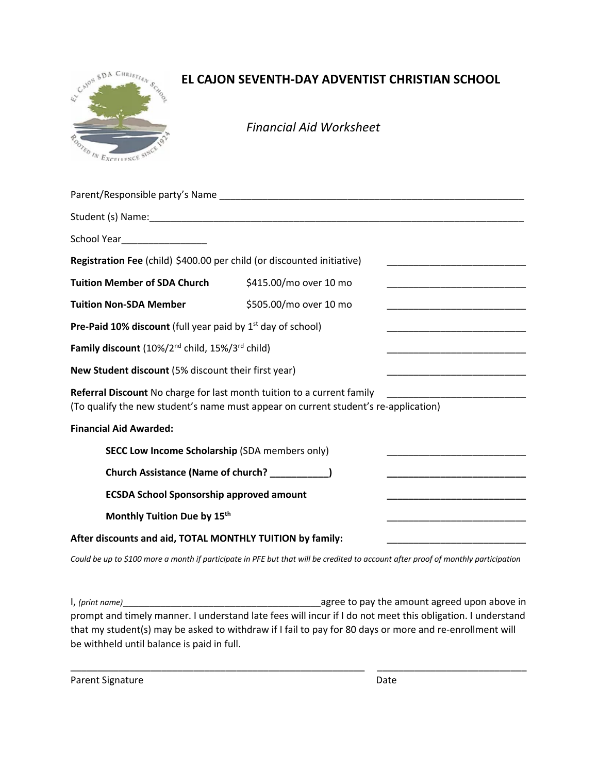

#### **EL CAJON SEVENTH-DAY ADVENTIST CHRISTIAN SCHOOL**

*Financial Aid Worksheet*

| School Year___________________                                                                                                                                |                        |                                                                                                                               |
|---------------------------------------------------------------------------------------------------------------------------------------------------------------|------------------------|-------------------------------------------------------------------------------------------------------------------------------|
| Registration Fee (child) \$400.00 per child (or discounted initiative)                                                                                        |                        | <u> 1990 - Johann Barn, mars ann an t-Amhain an t-Amhain an t-Amhain an t-Amhain an t-Amhain an t-Amhain an t-Amh</u>         |
| <b>Tuition Member of SDA Church</b>                                                                                                                           | \$415.00/mo over 10 mo |                                                                                                                               |
| <b>Tuition Non-SDA Member</b>                                                                                                                                 | \$505.00/mo over 10 mo | <u> 1999 - Johann John Stone, markin film yn y system yn y system yn y system yn y system yn y system yn y system</u>         |
| <b>Pre-Paid 10% discount</b> (full year paid by $1st$ day of school)                                                                                          |                        |                                                                                                                               |
| Family discount (10%/2 <sup>nd</sup> child, 15%/3 <sup>rd</sup> child)                                                                                        |                        |                                                                                                                               |
| New Student discount (5% discount their first year)                                                                                                           |                        | <u> 1989 - Johann John Stone, mars et al. 1989 - John Stone, mars et al. 1989 - John Stone, mars et al. 1989 - John Stone</u> |
| Referral Discount No charge for last month tuition to a current family<br>(To qualify the new student's name must appear on current student's re-application) |                        |                                                                                                                               |
| <b>Financial Aid Awarded:</b>                                                                                                                                 |                        |                                                                                                                               |
| <b>SECC Low Income Scholarship (SDA members only)</b>                                                                                                         |                        |                                                                                                                               |
| Church Assistance (Name of church? __________)                                                                                                                |                        |                                                                                                                               |
| <b>ECSDA School Sponsorship approved amount</b>                                                                                                               |                        | <u> 1989 - Johann John Stone, markin amerikan bisa di sebagai pertama dan bagi pertama dan bagi pertama dan bagi </u>         |
| Monthly Tuition Due by 15th                                                                                                                                   |                        |                                                                                                                               |
| After discounts and aid, TOTAL MONTHLY TUITION by family:                                                                                                     |                        |                                                                                                                               |

*Could be up to \$100 more a month if participate in PFE but that will be credited to account after proof of monthly participation*

I, *(print name)*\_\_\_\_\_\_\_\_\_\_\_\_\_\_\_\_\_\_\_\_\_\_\_\_\_\_\_\_\_\_\_\_\_\_\_\_\_agree to pay the amount agreed upon above in prompt and timely manner. I understand late fees will incur if I do not meet this obligation. I understand that my student(s) may be asked to withdraw if I fail to pay for 80 days or more and re-enrollment will be withheld until balance is paid in full.

\_\_\_\_\_\_\_\_\_\_\_\_\_\_\_\_\_\_\_\_\_\_\_\_\_\_\_\_\_\_\_\_\_\_\_\_\_\_\_\_\_\_\_\_\_\_\_\_\_\_\_\_\_\_\_ \_\_\_\_\_\_\_\_\_\_\_\_\_\_\_\_\_\_\_\_\_\_\_\_\_\_\_\_

Parent Signature Date Date